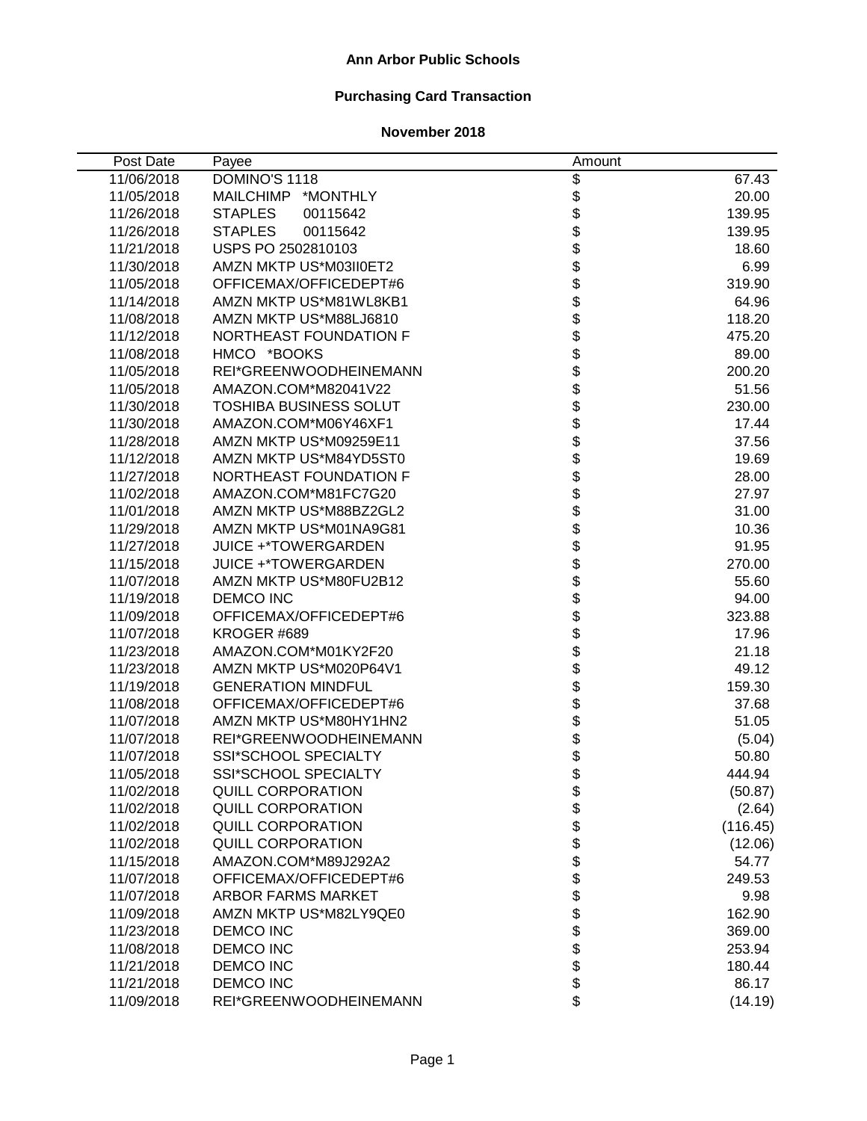### **Ann Arbor Public Schools**

# **Purchasing Card Transaction**

| Post Date  | Payee                         | Amount              |          |
|------------|-------------------------------|---------------------|----------|
| 11/06/2018 | DOMINO'S 1118                 | \$                  | 67.43    |
| 11/05/2018 | <b>MAILCHIMP</b><br>*MONTHLY  |                     | 20.00    |
| 11/26/2018 | <b>STAPLES</b><br>00115642    |                     | 139.95   |
| 11/26/2018 | <b>STAPLES</b><br>00115642    |                     | 139.95   |
| 11/21/2018 | USPS PO 2502810103            |                     | 18.60    |
| 11/30/2018 | AMZN MKTP US*M03II0ET2        |                     | 6.99     |
| 11/05/2018 | OFFICEMAX/OFFICEDEPT#6        |                     | 319.90   |
| 11/14/2018 | AMZN MKTP US*M81WL8KB1        |                     | 64.96    |
| 11/08/2018 | AMZN MKTP US*M88LJ6810        |                     | 118.20   |
| 11/12/2018 | NORTHEAST FOUNDATION F        |                     | 475.20   |
| 11/08/2018 | HMCO *BOOKS                   |                     | 89.00    |
| 11/05/2018 | REI*GREENWOODHEINEMANN        | <b>888888888888</b> | 200.20   |
| 11/05/2018 | AMAZON.COM*M82041V22          |                     | 51.56    |
| 11/30/2018 | <b>TOSHIBA BUSINESS SOLUT</b> | \$                  | 230.00   |
| 11/30/2018 | AMAZON.COM*M06Y46XF1          |                     | 17.44    |
| 11/28/2018 | AMZN MKTP US*M09259E11        |                     | 37.56    |
| 11/12/2018 | AMZN MKTP US*M84YD5ST0        |                     | 19.69    |
| 11/27/2018 | NORTHEAST FOUNDATION F        |                     | 28.00    |
| 11/02/2018 | AMAZON.COM*M81FC7G20          |                     | 27.97    |
| 11/01/2018 | AMZN MKTP US*M88BZ2GL2        |                     | 31.00    |
| 11/29/2018 | AMZN MKTP US*M01NA9G81        |                     | 10.36    |
| 11/27/2018 | <b>JUICE +*TOWERGARDEN</b>    |                     | 91.95    |
| 11/15/2018 | <b>JUICE +*TOWERGARDEN</b>    |                     | 270.00   |
| 11/07/2018 | AMZN MKTP US*M80FU2B12        |                     | 55.60    |
| 11/19/2018 | <b>DEMCO INC</b>              |                     | 94.00    |
| 11/09/2018 | OFFICEMAX/OFFICEDEPT#6        |                     | 323.88   |
| 11/07/2018 | KROGER #689                   |                     | 17.96    |
| 11/23/2018 | AMAZON.COM*M01KY2F20          |                     | 21.18    |
| 11/23/2018 | AMZN MKTP US*M020P64V1        |                     | 49.12    |
| 11/19/2018 | <b>GENERATION MINDFUL</b>     | \$                  | 159.30   |
| 11/08/2018 | OFFICEMAX/OFFICEDEPT#6        | \$                  | 37.68    |
| 11/07/2018 | AMZN MKTP US*M80HY1HN2        | \$                  | 51.05    |
| 11/07/2018 | REI*GREENWOODHEINEMANN        | \$<br>\$            | (5.04)   |
| 11/07/2018 | SSI*SCHOOL SPECIALTY          |                     | 50.80    |
| 11/05/2018 | SSI*SCHOOL SPECIALTY          | \$                  | 444.94   |
| 11/02/2018 | <b>QUILL CORPORATION</b>      | \$                  | (50.87)  |
| 11/02/2018 | <b>QUILL CORPORATION</b>      | \$\$\$\$\$          | (2.64)   |
| 11/02/2018 | <b>QUILL CORPORATION</b>      |                     | (116.45) |
| 11/02/2018 | <b>QUILL CORPORATION</b>      |                     | (12.06)  |
| 11/15/2018 | AMAZON.COM*M89J292A2          |                     | 54.77    |
| 11/07/2018 | OFFICEMAX/OFFICEDEPT#6        |                     | 249.53   |
| 11/07/2018 | <b>ARBOR FARMS MARKET</b>     | \$                  | 9.98     |
| 11/09/2018 | AMZN MKTP US*M82LY9QE0        | \$                  | 162.90   |
| 11/23/2018 | <b>DEMCO INC</b>              | \$                  | 369.00   |
| 11/08/2018 | <b>DEMCO INC</b>              | \$                  | 253.94   |
| 11/21/2018 | <b>DEMCO INC</b>              | \$                  | 180.44   |
| 11/21/2018 | <b>DEMCO INC</b>              | \$                  | 86.17    |
| 11/09/2018 | REI*GREENWOODHEINEMANN        | \$                  | (14.19)  |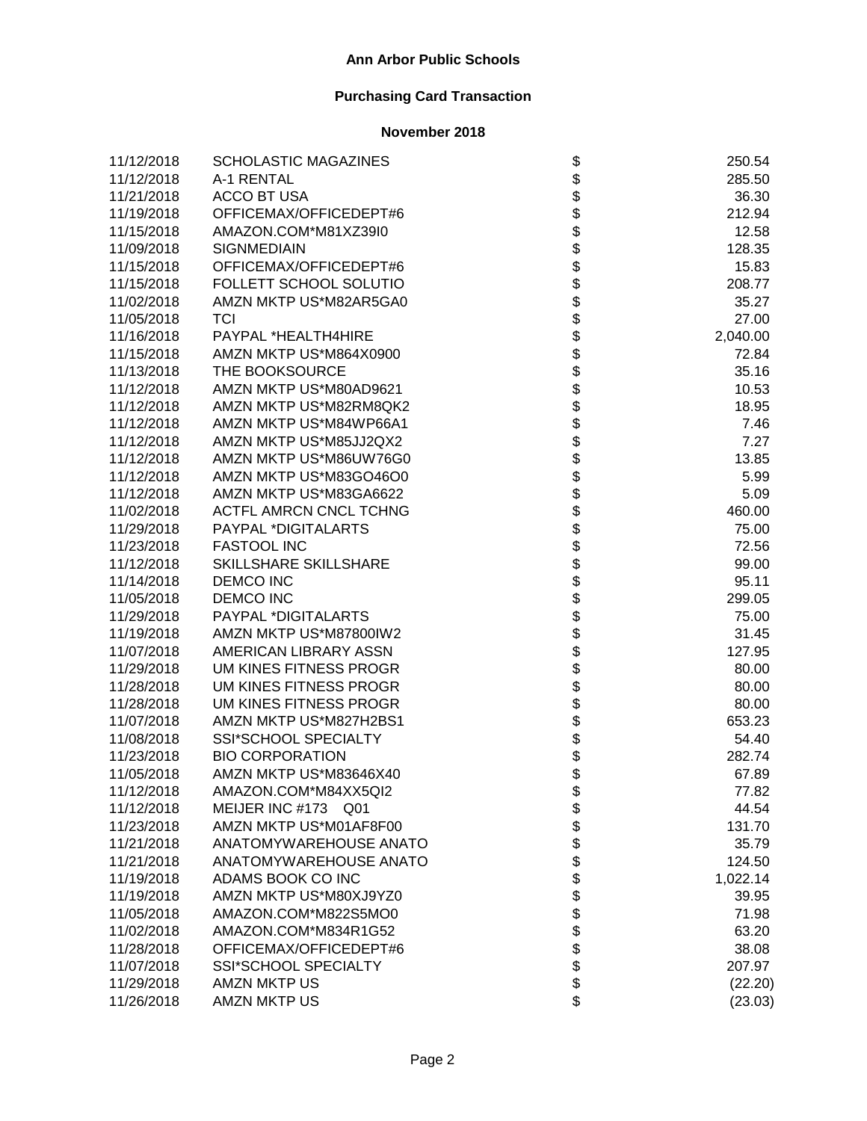| 11/12/2018 | <b>SCHOLASTIC MAGAZINES</b>   |                    | 250.54   |
|------------|-------------------------------|--------------------|----------|
| 11/12/2018 | A-1 RENTAL                    |                    | 285.50   |
| 11/21/2018 | <b>ACCO BT USA</b>            |                    | 36.30    |
| 11/19/2018 | OFFICEMAX/OFFICEDEPT#6        |                    | 212.94   |
| 11/15/2018 | AMAZON.COM*M81XZ39I0          |                    | 12.58    |
| 11/09/2018 | <b>SIGNMEDIAIN</b>            |                    | 128.35   |
| 11/15/2018 | OFFICEMAX/OFFICEDEPT#6        |                    | 15.83    |
| 11/15/2018 | FOLLETT SCHOOL SOLUTIO        |                    | 208.77   |
| 11/02/2018 | AMZN MKTP US*M82AR5GA0        |                    | 35.27    |
| 11/05/2018 | TCI                           |                    | 27.00    |
| 11/16/2018 | PAYPAL *HEALTH4HIRE           |                    | 2,040.00 |
| 11/15/2018 | AMZN MKTP US*M864X0900        |                    | 72.84    |
| 11/13/2018 | THE BOOKSOURCE                |                    | 35.16    |
| 11/12/2018 | AMZN MKTP US*M80AD9621        |                    | 10.53    |
| 11/12/2018 | AMZN MKTP US*M82RM8QK2        |                    | 18.95    |
| 11/12/2018 | AMZN MKTP US*M84WP66A1        |                    | 7.46     |
| 11/12/2018 | AMZN MKTP US*M85JJ2QX2        |                    | 7.27     |
| 11/12/2018 | AMZN MKTP US*M86UW76G0        |                    | 13.85    |
| 11/12/2018 | AMZN MKTP US*M83GO46O0        |                    | 5.99     |
| 11/12/2018 | AMZN MKTP US*M83GA6622        |                    | 5.09     |
| 11/02/2018 | <b>ACTFL AMRCN CNCL TCHNG</b> |                    | 460.00   |
| 11/29/2018 | PAYPAL *DIGITALARTS           |                    | 75.00    |
| 11/23/2018 | <b>FASTOOL INC</b>            |                    | 72.56    |
| 11/12/2018 | SKILLSHARE SKILLSHARE         |                    | 99.00    |
| 11/14/2018 | <b>DEMCO INC</b>              |                    | 95.11    |
| 11/05/2018 | <b>DEMCO INC</b>              |                    | 299.05   |
| 11/29/2018 | PAYPAL *DIGITALARTS           |                    | 75.00    |
| 11/19/2018 | AMZN MKTP US*M87800IW2        |                    | 31.45    |
| 11/07/2018 | AMERICAN LIBRARY ASSN         |                    | 127.95   |
| 11/29/2018 | UM KINES FITNESS PROGR        |                    | 80.00    |
| 11/28/2018 | UM KINES FITNESS PROGR        |                    | 80.00    |
| 11/28/2018 | UM KINES FITNESS PROGR        |                    | 80.00    |
| 11/07/2018 | AMZN MKTP US*M827H2BS1        |                    | 653.23   |
| 11/08/2018 | SSI*SCHOOL SPECIALTY          |                    | 54.40    |
| 11/23/2018 | <b>BIO CORPORATION</b>        |                    | 282.74   |
| 11/05/2018 | AMZN MKTP US*M83646X40        |                    | 67.89    |
| 11/12/2018 | AMAZON.COM*M84XX5QI2          | Φ                  | 77.82    |
| 11/12/2018 | MEIJER INC #173<br>Q01        |                    | 44.54    |
| 11/23/2018 | AMZN MKTP US*M01AF8F00        |                    | 131.70   |
| 11/21/2018 | ANATOMYWAREHOUSE ANATO        |                    | 35.79    |
| 11/21/2018 | ANATOMYWAREHOUSE ANATO        |                    | 124.50   |
| 11/19/2018 | ADAMS BOOK CO INC             |                    | 1,022.14 |
| 11/19/2018 | AMZN MKTP US*M80XJ9YZ0        |                    | 39.95    |
| 11/05/2018 | AMAZON.COM*M822S5MO0          |                    | 71.98    |
| 11/02/2018 | AMAZON.COM*M834R1G52          |                    | 63.20    |
| 11/28/2018 | OFFICEMAX/OFFICEDEPT#6        | <b>88888888888</b> | 38.08    |
| 11/07/2018 | SSI*SCHOOL SPECIALTY          |                    | 207.97   |
| 11/29/2018 | <b>AMZN MKTP US</b>           |                    | (22.20)  |
| 11/26/2018 | <b>AMZN MKTP US</b>           | \$                 | (23.03)  |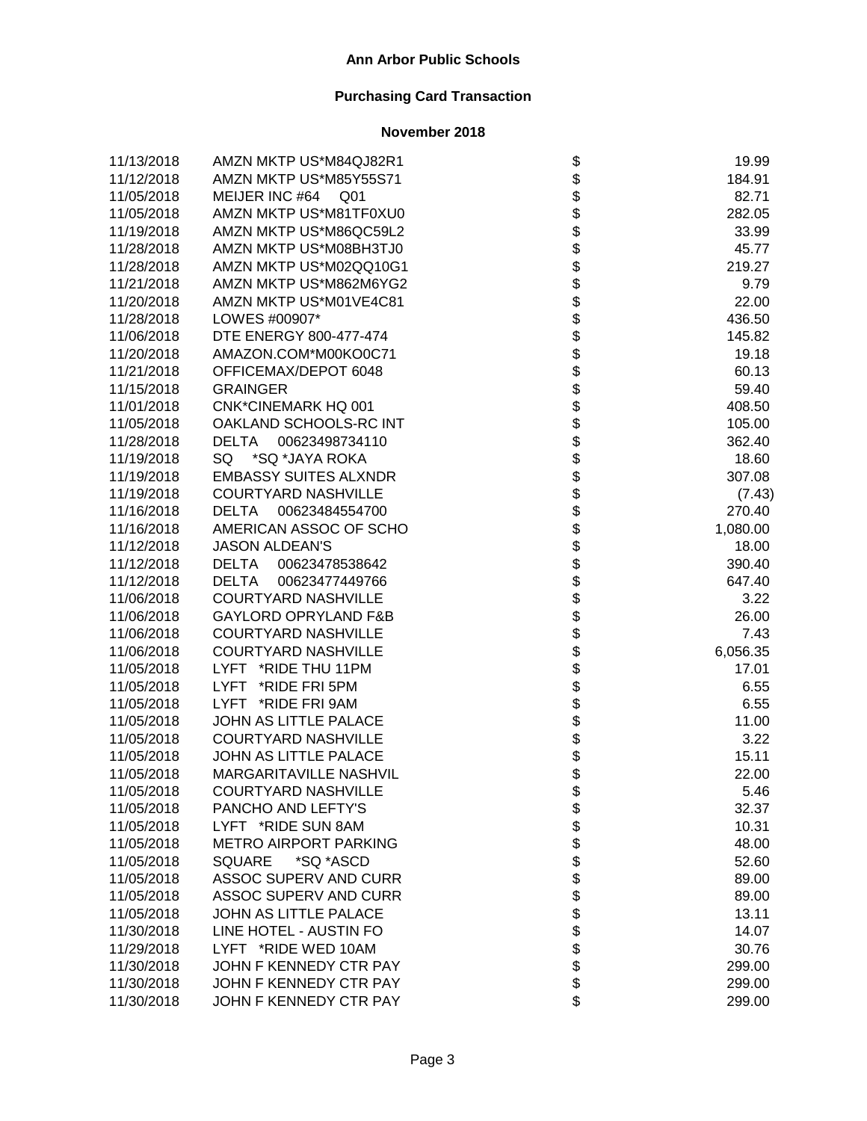| 11/13/2018 | AMZN MKTP US*M84QJ82R1            |                   | 19.99    |
|------------|-----------------------------------|-------------------|----------|
| 11/12/2018 | AMZN MKTP US*M85Y55S71            |                   | 184.91   |
| 11/05/2018 | MEIJER INC #64<br>Q <sub>01</sub> |                   | 82.71    |
| 11/05/2018 | AMZN MKTP US*M81TF0XU0            |                   | 282.05   |
| 11/19/2018 | AMZN MKTP US*M86QC59L2            |                   | 33.99    |
| 11/28/2018 | AMZN MKTP US*M08BH3TJ0            |                   | 45.77    |
| 11/28/2018 | AMZN MKTP US*M02QQ10G1            |                   | 219.27   |
| 11/21/2018 | AMZN MKTP US*M862M6YG2            |                   | 9.79     |
| 11/20/2018 | AMZN MKTP US*M01VE4C81            |                   | 22.00    |
| 11/28/2018 | LOWES #00907*                     |                   | 436.50   |
| 11/06/2018 | DTE ENERGY 800-477-474            |                   | 145.82   |
| 11/20/2018 | AMAZON.COM*M00KO0C71              |                   | 19.18    |
| 11/21/2018 | OFFICEMAX/DEPOT 6048              |                   | 60.13    |
| 11/15/2018 | <b>GRAINGER</b>                   |                   | 59.40    |
| 11/01/2018 | <b>CNK*CINEMARK HQ 001</b>        |                   | 408.50   |
| 11/05/2018 | OAKLAND SCHOOLS-RC INT            |                   | 105.00   |
| 11/28/2018 | <b>DELTA</b><br>00623498734110    |                   | 362.40   |
| 11/19/2018 | *SQ *JAYA ROKA<br>SQ              |                   | 18.60    |
| 11/19/2018 | <b>EMBASSY SUITES ALXNDR</b>      |                   | 307.08   |
| 11/19/2018 | <b>COURTYARD NASHVILLE</b>        |                   | (7.43)   |
| 11/16/2018 | <b>DELTA</b><br>00623484554700    |                   | 270.40   |
| 11/16/2018 | AMERICAN ASSOC OF SCHO            |                   | 1,080.00 |
| 11/12/2018 | <b>JASON ALDEAN'S</b>             |                   | 18.00    |
| 11/12/2018 | <b>DELTA</b><br>00623478538642    |                   | 390.40   |
| 11/12/2018 | <b>DELTA</b><br>00623477449766    |                   | 647.40   |
| 11/06/2018 | <b>COURTYARD NASHVILLE</b>        |                   | 3.22     |
| 11/06/2018 | <b>GAYLORD OPRYLAND F&amp;B</b>   |                   | 26.00    |
| 11/06/2018 | <b>COURTYARD NASHVILLE</b>        |                   | 7.43     |
| 11/06/2018 | <b>COURTYARD NASHVILLE</b>        |                   | 6,056.35 |
| 11/05/2018 | LYFT *RIDE THU 11PM               |                   | 17.01    |
| 11/05/2018 | LYFT *RIDE FRI 5PM                |                   | 6.55     |
| 11/05/2018 | LYFT *RIDE FRI 9AM                |                   | 6.55     |
| 11/05/2018 | JOHN AS LITTLE PALACE             |                   | 11.00    |
| 11/05/2018 | <b>COURTYARD NASHVILLE</b>        |                   | 3.22     |
| 11/05/2018 | JOHN AS LITTLE PALACE             |                   | 15.11    |
| 11/05/2018 | MARGARITAVILLE NASHVIL            |                   | 22.00    |
| 11/05/2018 | COURTYARD NASHVILLE               | \$                | 5.46     |
| 11/05/2018 | PANCHO AND LEFTY'S                |                   | 32.37    |
| 11/05/2018 | LYFT *RIDE SUN 8AM                |                   | 10.31    |
| 11/05/2018 | <b>METRO AIRPORT PARKING</b>      |                   | 48.00    |
| 11/05/2018 | <b>SQUARE</b><br>*SQ *ASCD        |                   | 52.60    |
| 11/05/2018 | ASSOC SUPERV AND CURR             |                   | 89.00    |
| 11/05/2018 | ASSOC SUPERV AND CURR             |                   | 89.00    |
| 11/05/2018 | JOHN AS LITTLE PALACE             | <b>8888888888</b> | 13.11    |
| 11/30/2018 | LINE HOTEL - AUSTIN FO            |                   | 14.07    |
| 11/29/2018 | LYFT *RIDE WED 10AM               |                   | 30.76    |
| 11/30/2018 | JOHN F KENNEDY CTR PAY            |                   | 299.00   |
| 11/30/2018 | JOHN F KENNEDY CTR PAY            |                   | 299.00   |
| 11/30/2018 | JOHN F KENNEDY CTR PAY            | \$                | 299.00   |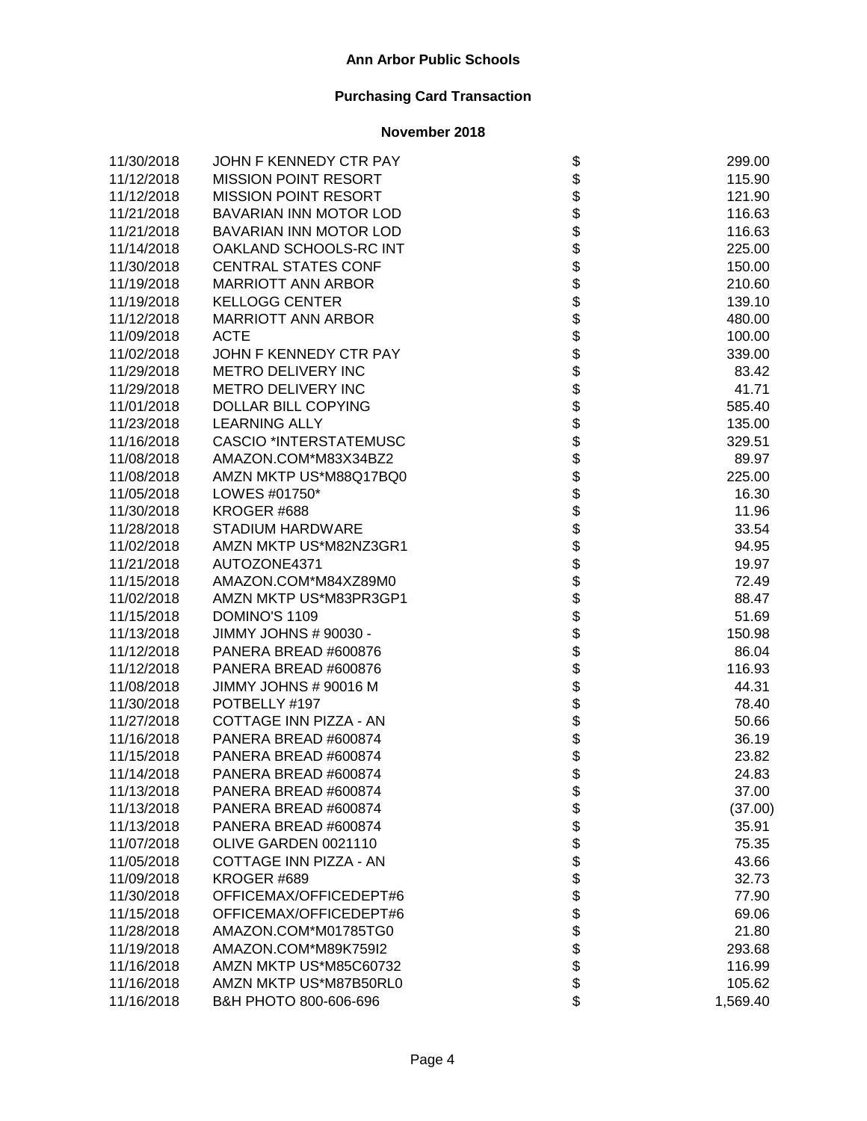| 11/30/2018 | JOHN F KENNEDY CTR PAY        | \$                           | 299.00   |
|------------|-------------------------------|------------------------------|----------|
| 11/12/2018 | <b>MISSION POINT RESORT</b>   |                              | 115.90   |
| 11/12/2018 | <b>MISSION POINT RESORT</b>   |                              | 121.90   |
| 11/21/2018 | BAVARIAN INN MOTOR LOD        |                              | 116.63   |
| 11/21/2018 | BAVARIAN INN MOTOR LOD        |                              | 116.63   |
| 11/14/2018 | OAKLAND SCHOOLS-RC INT        |                              | 225.00   |
| 11/30/2018 | <b>CENTRAL STATES CONF</b>    |                              | 150.00   |
| 11/19/2018 | <b>MARRIOTT ANN ARBOR</b>     |                              | 210.60   |
| 11/19/2018 | <b>KELLOGG CENTER</b>         |                              | 139.10   |
| 11/12/2018 | <b>MARRIOTT ANN ARBOR</b>     |                              | 480.00   |
| 11/09/2018 | <b>ACTE</b>                   |                              | 100.00   |
| 11/02/2018 | JOHN F KENNEDY CTR PAY        |                              | 339.00   |
| 11/29/2018 | METRO DELIVERY INC            |                              | 83.42    |
| 11/29/2018 | METRO DELIVERY INC            |                              | 41.71    |
| 11/01/2018 | DOLLAR BILL COPYING           |                              | 585.40   |
| 11/23/2018 | <b>LEARNING ALLY</b>          |                              | 135.00   |
| 11/16/2018 | <b>CASCIO *INTERSTATEMUSC</b> |                              | 329.51   |
| 11/08/2018 | AMAZON.COM*M83X34BZ2          |                              | 89.97    |
| 11/08/2018 | AMZN MKTP US*M88Q17BQ0        |                              | 225.00   |
| 11/05/2018 | LOWES #01750*                 |                              | 16.30    |
| 11/30/2018 | KROGER #688                   |                              | 11.96    |
| 11/28/2018 | <b>STADIUM HARDWARE</b>       |                              | 33.54    |
| 11/02/2018 | AMZN MKTP US*M82NZ3GR1        |                              | 94.95    |
| 11/21/2018 | AUTOZONE4371                  |                              | 19.97    |
| 11/15/2018 | AMAZON.COM*M84XZ89M0          |                              | 72.49    |
| 11/02/2018 | AMZN MKTP US*M83PR3GP1        |                              | 88.47    |
| 11/15/2018 | DOMINO'S 1109                 |                              | 51.69    |
| 11/13/2018 | JIMMY JOHNS # 90030 -         |                              | 150.98   |
| 11/12/2018 | PANERA BREAD #600876          |                              | 86.04    |
| 11/12/2018 | PANERA BREAD #600876          |                              | 116.93   |
| 11/08/2018 | JIMMY JOHNS # 90016 M         |                              | 44.31    |
| 11/30/2018 | POTBELLY #197                 |                              | 78.40    |
| 11/27/2018 | COTTAGE INN PIZZA - AN        |                              | 50.66    |
| 11/16/2018 | PANERA BREAD #600874          |                              | 36.19    |
| 11/15/2018 | PANERA BREAD #600874          |                              | 23.82    |
| 11/14/2018 | PANERA BREAD #600874          |                              | 24.83    |
| 11/13/2018 | PANERA BREAD #600874          | \$                           | 37.00    |
| 11/13/2018 | PANERA BREAD #600874          |                              | (37.00)  |
| 11/13/2018 | PANERA BREAD #600874          |                              | 35.91    |
| 11/07/2018 | OLIVE GARDEN 0021110          |                              | 75.35    |
| 11/05/2018 | COTTAGE INN PIZZA - AN        |                              | 43.66    |
| 11/09/2018 | KROGER #689                   |                              | 32.73    |
| 11/30/2018 | OFFICEMAX/OFFICEDEPT#6        |                              | 77.90    |
| 11/15/2018 | OFFICEMAX/OFFICEDEPT#6        |                              | 69.06    |
| 11/28/2018 | AMAZON.COM*M01785TG0          |                              | 21.80    |
| 11/19/2018 | AMAZON.COM*M89K759I2          | \$\$\$\$\$\$\$\$\$\$\$\$\$\$ | 293.68   |
| 11/16/2018 | AMZN MKTP US*M85C60732        |                              | 116.99   |
| 11/16/2018 | AMZN MKTP US*M87B50RL0        |                              | 105.62   |
| 11/16/2018 | B&H PHOTO 800-606-696         |                              | 1,569.40 |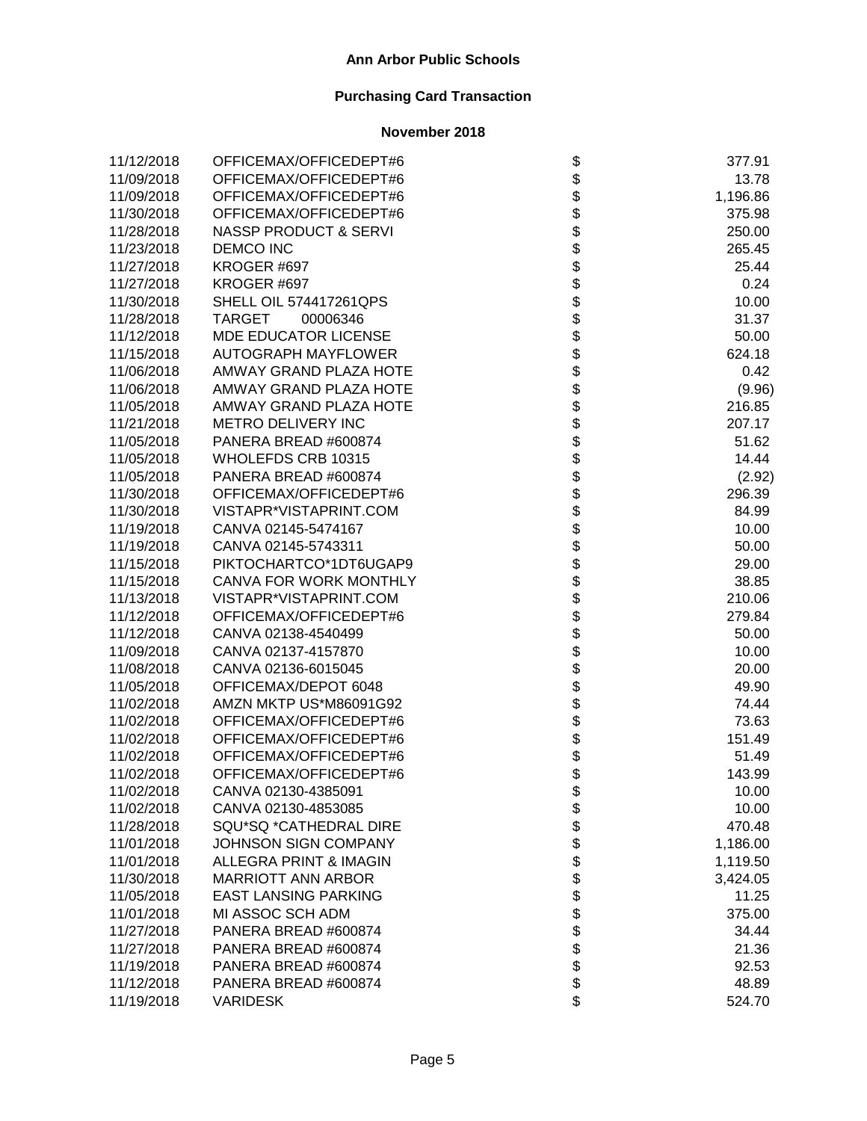| 11/12/2018 | OFFICEMAX/OFFICEDEPT#6            | \$                           | 377.91   |
|------------|-----------------------------------|------------------------------|----------|
| 11/09/2018 | OFFICEMAX/OFFICEDEPT#6            |                              | 13.78    |
| 11/09/2018 | OFFICEMAX/OFFICEDEPT#6            |                              | 1,196.86 |
| 11/30/2018 | OFFICEMAX/OFFICEDEPT#6            |                              | 375.98   |
| 11/28/2018 | <b>NASSP PRODUCT &amp; SERVI</b>  |                              | 250.00   |
| 11/23/2018 | <b>DEMCO INC</b>                  |                              | 265.45   |
| 11/27/2018 | KROGER #697                       |                              | 25.44    |
| 11/27/2018 | KROGER #697                       |                              | 0.24     |
| 11/30/2018 | SHELL OIL 574417261QPS            |                              | 10.00    |
| 11/28/2018 | TARGET<br>00006346                |                              | 31.37    |
| 11/12/2018 | <b>MDE EDUCATOR LICENSE</b>       |                              | 50.00    |
| 11/15/2018 | <b>AUTOGRAPH MAYFLOWER</b>        |                              | 624.18   |
| 11/06/2018 | AMWAY GRAND PLAZA HOTE            |                              | 0.42     |
| 11/06/2018 | AMWAY GRAND PLAZA HOTE            |                              | (9.96)   |
| 11/05/2018 | AMWAY GRAND PLAZA HOTE            |                              | 216.85   |
| 11/21/2018 | METRO DELIVERY INC                |                              | 207.17   |
| 11/05/2018 | PANERA BREAD #600874              |                              | 51.62    |
| 11/05/2018 | WHOLEFDS CRB 10315                |                              | 14.44    |
| 11/05/2018 | PANERA BREAD #600874              |                              | (2.92)   |
| 11/30/2018 | OFFICEMAX/OFFICEDEPT#6            |                              | 296.39   |
| 11/30/2018 | VISTAPR*VISTAPRINT.COM            |                              | 84.99    |
| 11/19/2018 | CANVA 02145-5474167               |                              | 10.00    |
| 11/19/2018 | CANVA 02145-5743311               |                              | 50.00    |
| 11/15/2018 | PIKTOCHARTCO*1DT6UGAP9            |                              | 29.00    |
| 11/15/2018 | CANVA FOR WORK MONTHLY            |                              | 38.85    |
| 11/13/2018 | VISTAPR*VISTAPRINT.COM            |                              | 210.06   |
| 11/12/2018 | OFFICEMAX/OFFICEDEPT#6            |                              | 279.84   |
| 11/12/2018 | CANVA 02138-4540499               |                              | 50.00    |
| 11/09/2018 | CANVA 02137-4157870               |                              | 10.00    |
| 11/08/2018 | CANVA 02136-6015045               |                              | 20.00    |
| 11/05/2018 | OFFICEMAX/DEPOT 6048              |                              | 49.90    |
| 11/02/2018 | AMZN MKTP US*M86091G92            |                              | 74.44    |
| 11/02/2018 | OFFICEMAX/OFFICEDEPT#6            |                              | 73.63    |
| 11/02/2018 | OFFICEMAX/OFFICEDEPT#6            |                              | 151.49   |
| 11/02/2018 | OFFICEMAX/OFFICEDEPT#6            |                              | 51.49    |
| 11/02/2018 | OFFICEMAX/OFFICEDEPT#6            | \$<br>\$                     | 143.99   |
| 11/02/2018 | CANVA 02130-4385091               | \$                           | 10.00    |
| 11/02/2018 | CANVA 02130-4853085               |                              | 10.00    |
| 11/28/2018 | SQU*SQ *CATHEDRAL DIRE            |                              | 470.48   |
| 11/01/2018 | <b>JOHNSON SIGN COMPANY</b>       |                              | 1,186.00 |
| 11/01/2018 | <b>ALLEGRA PRINT &amp; IMAGIN</b> |                              | 1,119.50 |
| 11/30/2018 | <b>MARRIOTT ANN ARBOR</b>         |                              | 3,424.05 |
| 11/05/2018 | <b>EAST LANSING PARKING</b>       |                              | 11.25    |
| 11/01/2018 | MI ASSOC SCH ADM                  |                              | 375.00   |
| 11/27/2018 | PANERA BREAD #600874              |                              | 34.44    |
| 11/27/2018 | PANERA BREAD #600874              | \$\$\$\$\$\$\$\$\$\$\$\$\$\$ | 21.36    |
| 11/19/2018 | PANERA BREAD #600874              |                              | 92.53    |
| 11/12/2018 | PANERA BREAD #600874              |                              | 48.89    |
| 11/19/2018 | <b>VARIDESK</b>                   |                              | 524.70   |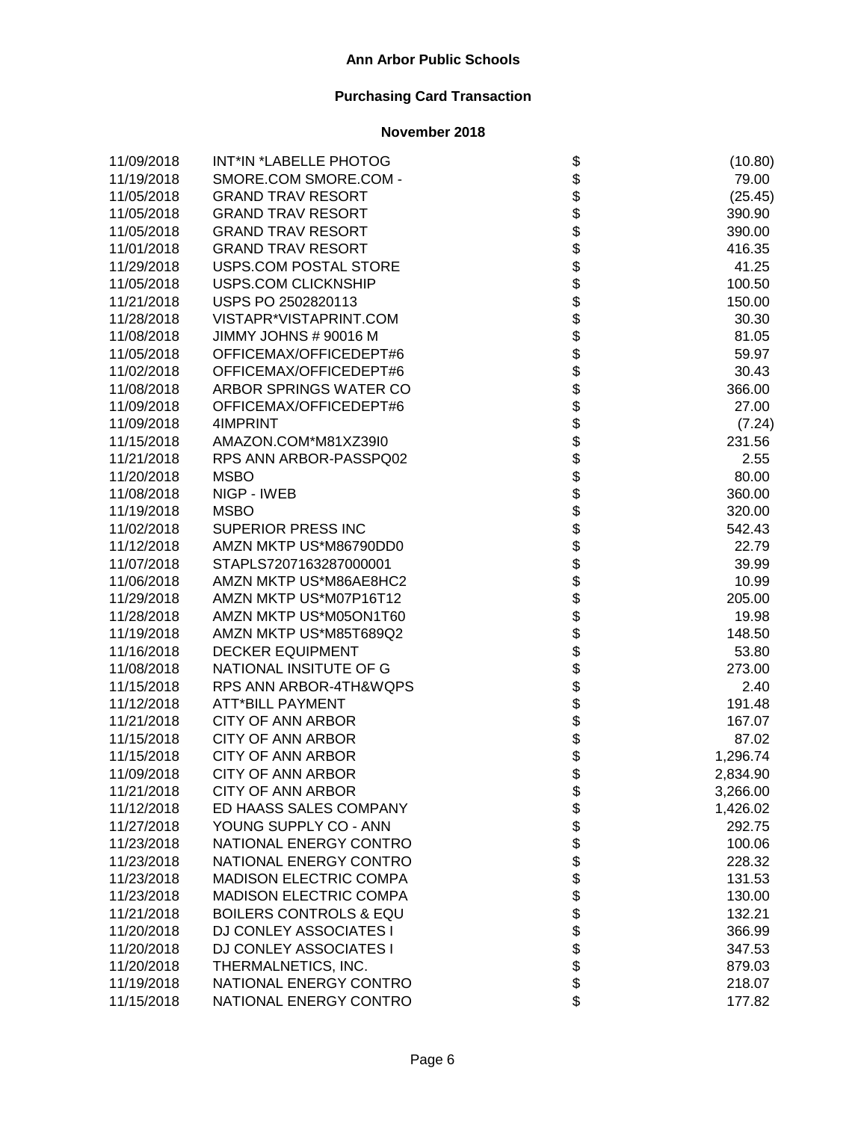| 11/09/2018 | INT*IN *LABELLE PHOTOG            |                                           | (10.80)  |
|------------|-----------------------------------|-------------------------------------------|----------|
| 11/19/2018 | SMORE.COM SMORE.COM -             |                                           | 79.00    |
| 11/05/2018 | <b>GRAND TRAV RESORT</b>          |                                           | (25.45)  |
| 11/05/2018 | <b>GRAND TRAV RESORT</b>          |                                           | 390.90   |
| 11/05/2018 | <b>GRAND TRAV RESORT</b>          |                                           | 390.00   |
| 11/01/2018 | <b>GRAND TRAV RESORT</b>          |                                           | 416.35   |
| 11/29/2018 | USPS.COM POSTAL STORE             |                                           | 41.25    |
| 11/05/2018 | <b>USPS.COM CLICKNSHIP</b>        |                                           | 100.50   |
| 11/21/2018 | USPS PO 2502820113                |                                           | 150.00   |
| 11/28/2018 | VISTAPR*VISTAPRINT.COM            |                                           | 30.30    |
| 11/08/2018 | JIMMY JOHNS # 90016 M             |                                           | 81.05    |
| 11/05/2018 | OFFICEMAX/OFFICEDEPT#6            |                                           | 59.97    |
| 11/02/2018 | OFFICEMAX/OFFICEDEPT#6            |                                           | 30.43    |
| 11/08/2018 | ARBOR SPRINGS WATER CO            |                                           | 366.00   |
| 11/09/2018 | OFFICEMAX/OFFICEDEPT#6            |                                           | 27.00    |
| 11/09/2018 | 4IMPRINT                          |                                           | (7.24)   |
| 11/15/2018 | AMAZON.COM*M81XZ39I0              |                                           | 231.56   |
| 11/21/2018 | RPS ANN ARBOR-PASSPQ02            |                                           | 2.55     |
| 11/20/2018 | <b>MSBO</b>                       |                                           | 80.00    |
| 11/08/2018 | NIGP - IWEB                       |                                           | 360.00   |
| 11/19/2018 | <b>MSBO</b>                       |                                           | 320.00   |
| 11/02/2018 | <b>SUPERIOR PRESS INC</b>         |                                           | 542.43   |
| 11/12/2018 | AMZN MKTP US*M86790DD0            |                                           | 22.79    |
| 11/07/2018 | STAPLS7207163287000001            |                                           | 39.99    |
| 11/06/2018 | AMZN MKTP US*M86AE8HC2            | ֍֎֎֍֎֎֎֍֎֎֍֎֎֍֎֍֎֍֎֍֎֍֍֎֍֎֍֎֍֎֍֎֍֎֍֎֍֍֎֍֍ | 10.99    |
| 11/29/2018 | AMZN MKTP US*M07P16T12            |                                           | 205.00   |
| 11/28/2018 | AMZN MKTP US*M05ON1T60            |                                           | 19.98    |
| 11/19/2018 | AMZN MKTP US*M85T689Q2            |                                           | 148.50   |
| 11/16/2018 | <b>DECKER EQUIPMENT</b>           |                                           | 53.80    |
| 11/08/2018 | NATIONAL INSITUTE OF G            |                                           | 273.00   |
| 11/15/2018 | RPS ANN ARBOR-4TH&WQPS            |                                           | 2.40     |
| 11/12/2018 | <b>ATT*BILL PAYMENT</b>           |                                           | 191.48   |
| 11/21/2018 | <b>CITY OF ANN ARBOR</b>          |                                           | 167.07   |
| 11/15/2018 | <b>CITY OF ANN ARBOR</b>          |                                           | 87.02    |
| 11/15/2018 | <b>CITY OF ANN ARBOR</b>          |                                           | 1,296.74 |
| 11/09/2018 | <b>CITY OF ANN ARBOR</b>          |                                           | 2,834.90 |
| 11/21/2018 | CITY OF ANN ARBOR                 | \$                                        | 3,266.00 |
| 11/12/2018 | ED HAASS SALES COMPANY            |                                           | 1,426.02 |
| 11/27/2018 | YOUNG SUPPLY CO - ANN             |                                           | 292.75   |
| 11/23/2018 | NATIONAL ENERGY CONTRO            |                                           | 100.06   |
| 11/23/2018 | NATIONAL ENERGY CONTRO            |                                           | 228.32   |
| 11/23/2018 | <b>MADISON ELECTRIC COMPA</b>     |                                           | 131.53   |
| 11/23/2018 | <b>MADISON ELECTRIC COMPA</b>     |                                           | 130.00   |
| 11/21/2018 | <b>BOILERS CONTROLS &amp; EQU</b> |                                           | 132.21   |
| 11/20/2018 | DJ CONLEY ASSOCIATES I            |                                           | 366.99   |
| 11/20/2018 | DJ CONLEY ASSOCIATES I            | <b>88888888888</b>                        | 347.53   |
| 11/20/2018 | THERMALNETICS, INC.               |                                           | 879.03   |
| 11/19/2018 | NATIONAL ENERGY CONTRO            |                                           | 218.07   |
| 11/15/2018 | NATIONAL ENERGY CONTRO            | \$                                        | 177.82   |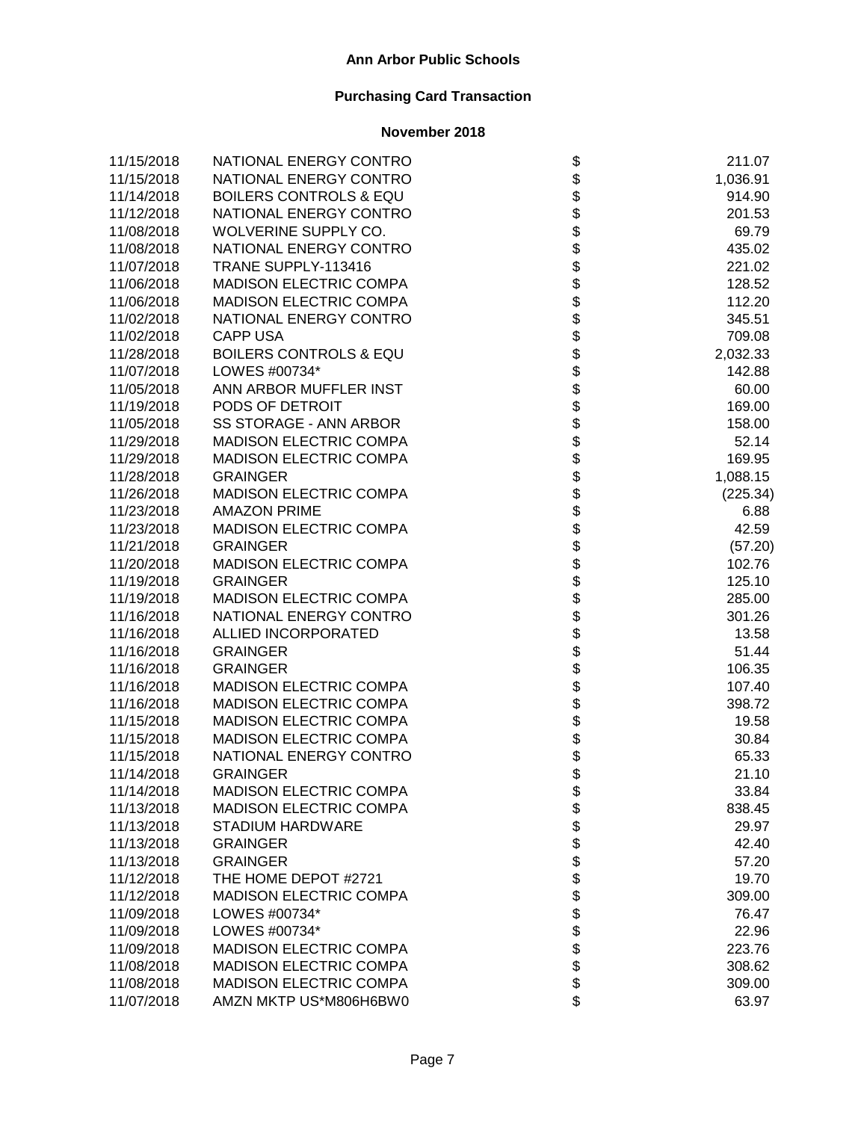| 11/15/2018 | NATIONAL ENERGY CONTRO            |                                      | 211.07   |
|------------|-----------------------------------|--------------------------------------|----------|
| 11/15/2018 | NATIONAL ENERGY CONTRO            |                                      | 1,036.91 |
| 11/14/2018 | <b>BOILERS CONTROLS &amp; EQU</b> |                                      | 914.90   |
| 11/12/2018 | NATIONAL ENERGY CONTRO            |                                      | 201.53   |
| 11/08/2018 | WOLVERINE SUPPLY CO.              |                                      | 69.79    |
| 11/08/2018 | NATIONAL ENERGY CONTRO            |                                      | 435.02   |
| 11/07/2018 | TRANE SUPPLY-113416               |                                      | 221.02   |
| 11/06/2018 | <b>MADISON ELECTRIC COMPA</b>     |                                      | 128.52   |
| 11/06/2018 | <b>MADISON ELECTRIC COMPA</b>     |                                      | 112.20   |
| 11/02/2018 | NATIONAL ENERGY CONTRO            |                                      | 345.51   |
| 11/02/2018 | <b>CAPP USA</b>                   |                                      | 709.08   |
| 11/28/2018 | <b>BOILERS CONTROLS &amp; EQU</b> |                                      | 2,032.33 |
| 11/07/2018 | LOWES #00734*                     |                                      | 142.88   |
| 11/05/2018 | ANN ARBOR MUFFLER INST            |                                      | 60.00    |
| 11/19/2018 | PODS OF DETROIT                   |                                      | 169.00   |
| 11/05/2018 | SS STORAGE - ANN ARBOR            |                                      | 158.00   |
| 11/29/2018 | MADISON ELECTRIC COMPA            |                                      | 52.14    |
| 11/29/2018 | <b>MADISON ELECTRIC COMPA</b>     |                                      | 169.95   |
| 11/28/2018 | <b>GRAINGER</b>                   |                                      | 1,088.15 |
| 11/26/2018 | <b>MADISON ELECTRIC COMPA</b>     |                                      | (225.34) |
| 11/23/2018 | <b>AMAZON PRIME</b>               |                                      | 6.88     |
| 11/23/2018 | <b>MADISON ELECTRIC COMPA</b>     |                                      | 42.59    |
| 11/21/2018 | <b>GRAINGER</b>                   |                                      | (57.20)  |
| 11/20/2018 | <b>MADISON ELECTRIC COMPA</b>     |                                      | 102.76   |
| 11/19/2018 | <b>GRAINGER</b>                   |                                      | 125.10   |
| 11/19/2018 | <b>MADISON ELECTRIC COMPA</b>     | ֍֎֍֍֍֍֍֍֍֍֍֍֍֍֍֍֍֍֍֍֍֍֍֍֍֍֍֍֍֍֍֍֍֍֍֍ | 285.00   |
| 11/16/2018 | NATIONAL ENERGY CONTRO            |                                      | 301.26   |
| 11/16/2018 | ALLIED INCORPORATED               |                                      | 13.58    |
| 11/16/2018 | <b>GRAINGER</b>                   |                                      | 51.44    |
| 11/16/2018 | <b>GRAINGER</b>                   |                                      | 106.35   |
| 11/16/2018 | <b>MADISON ELECTRIC COMPA</b>     |                                      | 107.40   |
| 11/16/2018 | <b>MADISON ELECTRIC COMPA</b>     |                                      | 398.72   |
| 11/15/2018 | MADISON ELECTRIC COMPA            |                                      | 19.58    |
| 11/15/2018 | MADISON ELECTRIC COMPA            |                                      | 30.84    |
| 11/15/2018 | NATIONAL ENERGY CONTRO            |                                      | 65.33    |
| 11/14/2018 | <b>GRAINGER</b>                   |                                      | 21.10    |
| 11/14/2018 | MADISON ELECTRIC COMPA            | \$                                   | 33.84    |
| 11/13/2018 | <b>MADISON ELECTRIC COMPA</b>     |                                      | 838.45   |
| 11/13/2018 | <b>STADIUM HARDWARE</b>           |                                      | 29.97    |
| 11/13/2018 | <b>GRAINGER</b>                   |                                      | 42.40    |
| 11/13/2018 | <b>GRAINGER</b>                   |                                      | 57.20    |
| 11/12/2018 | THE HOME DEPOT #2721              |                                      | 19.70    |
| 11/12/2018 | <b>MADISON ELECTRIC COMPA</b>     |                                      | 309.00   |
| 11/09/2018 | LOWES #00734*                     |                                      | 76.47    |
| 11/09/2018 | LOWES #00734*                     |                                      | 22.96    |
| 11/09/2018 | <b>MADISON ELECTRIC COMPA</b>     | <b>88888888888</b>                   | 223.76   |
| 11/08/2018 | <b>MADISON ELECTRIC COMPA</b>     |                                      | 308.62   |
| 11/08/2018 | <b>MADISON ELECTRIC COMPA</b>     |                                      | 309.00   |
| 11/07/2018 | AMZN MKTP US*M806H6BW0            | \$                                   | 63.97    |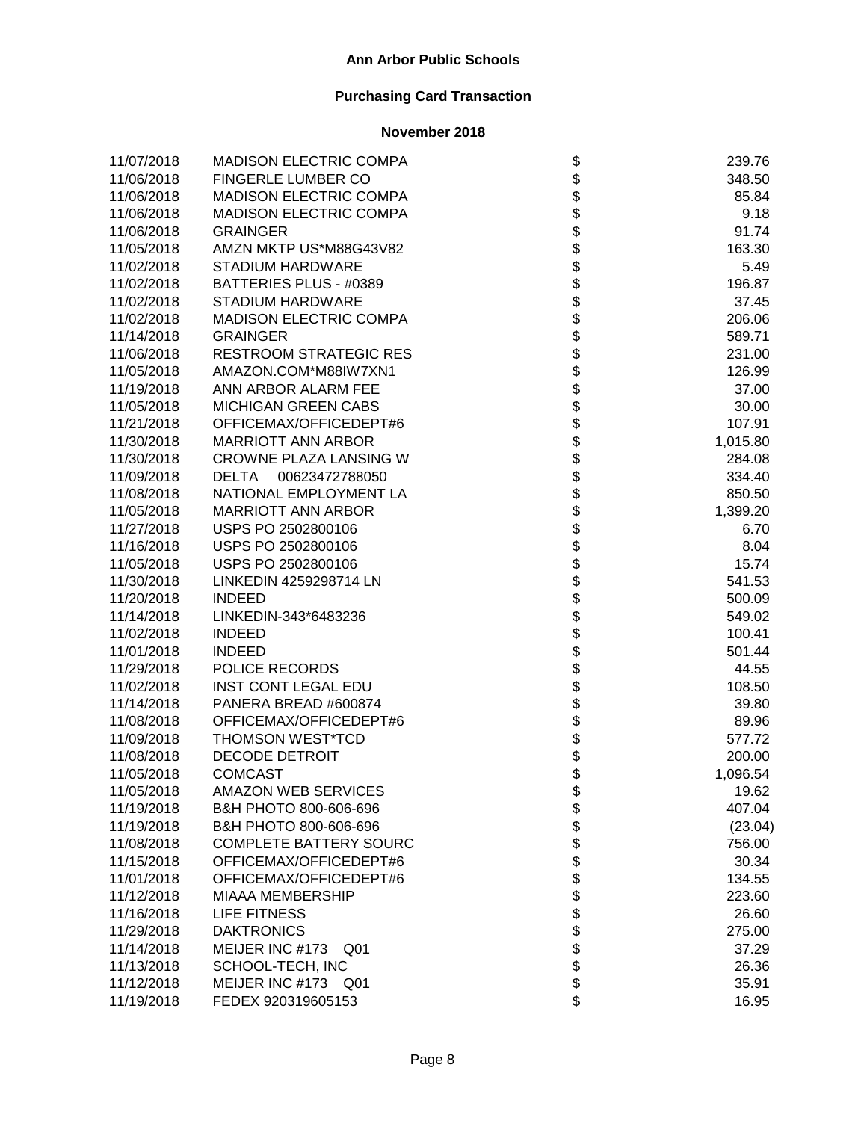| 11/07/2018 | <b>MADISON ELECTRIC COMPA</b>  |                    | 239.76   |
|------------|--------------------------------|--------------------|----------|
| 11/06/2018 | FINGERLE LUMBER CO             |                    | 348.50   |
| 11/06/2018 | <b>MADISON ELECTRIC COMPA</b>  |                    | 85.84    |
| 11/06/2018 | <b>MADISON ELECTRIC COMPA</b>  |                    | 9.18     |
| 11/06/2018 | <b>GRAINGER</b>                |                    | 91.74    |
| 11/05/2018 | AMZN MKTP US*M88G43V82         |                    | 163.30   |
| 11/02/2018 | <b>STADIUM HARDWARE</b>        |                    | 5.49     |
| 11/02/2018 | BATTERIES PLUS - #0389         |                    | 196.87   |
| 11/02/2018 | <b>STADIUM HARDWARE</b>        |                    | 37.45    |
| 11/02/2018 | <b>MADISON ELECTRIC COMPA</b>  |                    | 206.06   |
| 11/14/2018 | <b>GRAINGER</b>                |                    | 589.71   |
| 11/06/2018 | <b>RESTROOM STRATEGIC RES</b>  |                    | 231.00   |
| 11/05/2018 | AMAZON.COM*M88IW7XN1           |                    | 126.99   |
| 11/19/2018 | ANN ARBOR ALARM FEE            |                    | 37.00    |
| 11/05/2018 | <b>MICHIGAN GREEN CABS</b>     |                    | 30.00    |
| 11/21/2018 | OFFICEMAX/OFFICEDEPT#6         |                    | 107.91   |
| 11/30/2018 | <b>MARRIOTT ANN ARBOR</b>      |                    | 1,015.80 |
| 11/30/2018 | CROWNE PLAZA LANSING W         |                    | 284.08   |
| 11/09/2018 | <b>DELTA</b><br>00623472788050 |                    | 334.40   |
| 11/08/2018 | NATIONAL EMPLOYMENT LA         |                    | 850.50   |
| 11/05/2018 | <b>MARRIOTT ANN ARBOR</b>      |                    | 1,399.20 |
| 11/27/2018 | USPS PO 2502800106             |                    | 6.70     |
| 11/16/2018 | USPS PO 2502800106             |                    | 8.04     |
| 11/05/2018 | USPS PO 2502800106             |                    | 15.74    |
| 11/30/2018 | LINKEDIN 4259298714 LN         |                    | 541.53   |
| 11/20/2018 | <b>INDEED</b>                  |                    | 500.09   |
| 11/14/2018 | LINKEDIN-343*6483236           |                    | 549.02   |
| 11/02/2018 | <b>INDEED</b>                  |                    | 100.41   |
| 11/01/2018 | <b>INDEED</b>                  |                    | 501.44   |
| 11/29/2018 | POLICE RECORDS                 |                    | 44.55    |
| 11/02/2018 | <b>INST CONT LEGAL EDU</b>     |                    | 108.50   |
| 11/14/2018 | PANERA BREAD #600874           |                    | 39.80    |
| 11/08/2018 | OFFICEMAX/OFFICEDEPT#6         |                    | 89.96    |
| 11/09/2018 | THOMSON WEST*TCD               |                    | 577.72   |
| 11/08/2018 | <b>DECODE DETROIT</b>          |                    | 200.00   |
| 11/05/2018 | <b>COMCAST</b>                 |                    | 1,096.54 |
| 11/05/2018 | <b>AMAZON WEB SERVICES</b>     | \$                 | 19.62    |
| 11/19/2018 | B&H PHOTO 800-606-696          |                    | 407.04   |
| 11/19/2018 | B&H PHOTO 800-606-696          |                    | (23.04)  |
| 11/08/2018 | <b>COMPLETE BATTERY SOURC</b>  |                    | 756.00   |
| 11/15/2018 | OFFICEMAX/OFFICEDEPT#6         |                    | 30.34    |
| 11/01/2018 | OFFICEMAX/OFFICEDEPT#6         |                    | 134.55   |
| 11/12/2018 | <b>MIAAA MEMBERSHIP</b>        |                    | 223.60   |
| 11/16/2018 | <b>LIFE FITNESS</b>            |                    | 26.60    |
| 11/29/2018 | <b>DAKTRONICS</b>              |                    | 275.00   |
| 11/14/2018 | MEIJER INC #173<br>Q01         | <b>88888888888</b> | 37.29    |
| 11/13/2018 | SCHOOL-TECH, INC               |                    | 26.36    |
| 11/12/2018 | MEIJER INC #173<br>Q01         |                    | 35.91    |
| 11/19/2018 | FEDEX 920319605153             | \$                 | 16.95    |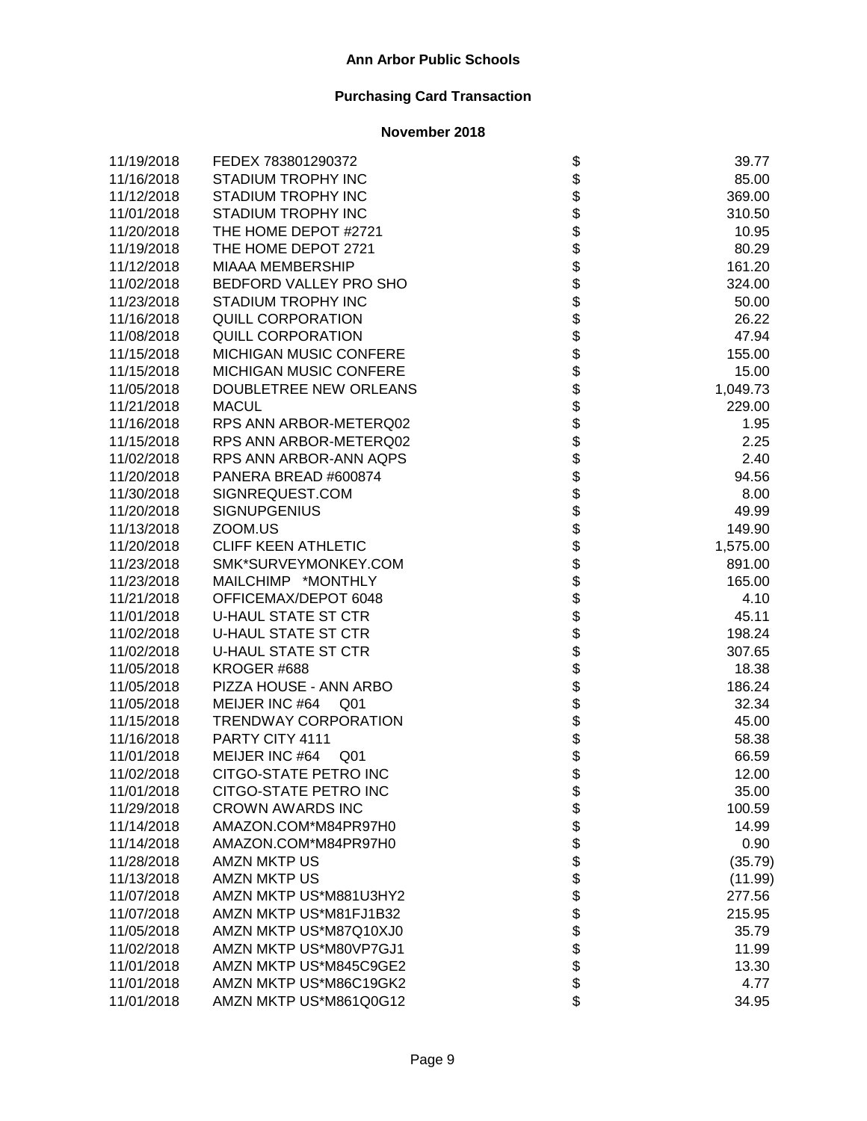| 11/19/2018 | FEDEX 783801290372                |                   | 39.77    |
|------------|-----------------------------------|-------------------|----------|
| 11/16/2018 | STADIUM TROPHY INC                |                   | 85.00    |
| 11/12/2018 | <b>STADIUM TROPHY INC</b>         |                   | 369.00   |
| 11/01/2018 | STADIUM TROPHY INC                |                   | 310.50   |
| 11/20/2018 | THE HOME DEPOT #2721              |                   | 10.95    |
| 11/19/2018 | THE HOME DEPOT 2721               |                   | 80.29    |
| 11/12/2018 | <b>MIAAA MEMBERSHIP</b>           |                   | 161.20   |
| 11/02/2018 | BEDFORD VALLEY PRO SHO            |                   | 324.00   |
| 11/23/2018 | STADIUM TROPHY INC                |                   | 50.00    |
| 11/16/2018 | <b>QUILL CORPORATION</b>          |                   | 26.22    |
| 11/08/2018 | <b>QUILL CORPORATION</b>          |                   | 47.94    |
| 11/15/2018 | MICHIGAN MUSIC CONFERE            |                   | 155.00   |
| 11/15/2018 | MICHIGAN MUSIC CONFERE            |                   | 15.00    |
| 11/05/2018 | DOUBLETREE NEW ORLEANS            |                   | 1,049.73 |
| 11/21/2018 | <b>MACUL</b>                      |                   | 229.00   |
| 11/16/2018 | RPS ANN ARBOR-METERQ02            |                   | 1.95     |
| 11/15/2018 | RPS ANN ARBOR-METERQ02            |                   | 2.25     |
| 11/02/2018 | RPS ANN ARBOR-ANN AQPS            |                   | 2.40     |
| 11/20/2018 | PANERA BREAD #600874              |                   | 94.56    |
| 11/30/2018 | SIGNREQUEST.COM                   |                   | 8.00     |
| 11/20/2018 | <b>SIGNUPGENIUS</b>               |                   | 49.99    |
| 11/13/2018 | ZOOM.US                           |                   | 149.90   |
| 11/20/2018 | <b>CLIFF KEEN ATHLETIC</b>        |                   | 1,575.00 |
| 11/23/2018 | SMK*SURVEYMONKEY.COM              |                   | 891.00   |
| 11/23/2018 | MAILCHIMP *MONTHLY                |                   | 165.00   |
| 11/21/2018 | OFFICEMAX/DEPOT 6048              |                   | 4.10     |
| 11/01/2018 | <b>U-HAUL STATE ST CTR</b>        |                   | 45.11    |
| 11/02/2018 | <b>U-HAUL STATE ST CTR</b>        |                   | 198.24   |
| 11/02/2018 | <b>U-HAUL STATE ST CTR</b>        |                   | 307.65   |
| 11/05/2018 | KROGER #688                       |                   | 18.38    |
| 11/05/2018 | PIZZA HOUSE - ANN ARBO            |                   | 186.24   |
| 11/05/2018 | MEIJER INC #64 Q01                |                   | 32.34    |
| 11/15/2018 | <b>TRENDWAY CORPORATION</b>       |                   | 45.00    |
| 11/16/2018 | PARTY CITY 4111                   |                   | 58.38    |
| 11/01/2018 | MEIJER INC #64<br>Q <sub>01</sub> |                   | 66.59    |
| 11/02/2018 | CITGO-STATE PETRO INC             |                   | 12.00    |
| 11/01/2018 | CITGO-STATE PETRO INC             | \$                | 35.00    |
| 11/29/2018 | <b>CROWN AWARDS INC</b>           |                   | 100.59   |
| 11/14/2018 | AMAZON.COM*M84PR97H0              |                   | 14.99    |
| 11/14/2018 | AMAZON.COM*M84PR97H0              |                   | 0.90     |
| 11/28/2018 | <b>AMZN MKTP US</b>               |                   | (35.79)  |
| 11/13/2018 | AMZN MKTP US                      |                   | (11.99)  |
| 11/07/2018 | AMZN MKTP US*M881U3HY2            |                   | 277.56   |
| 11/07/2018 | AMZN MKTP US*M81FJ1B32            |                   | 215.95   |
| 11/05/2018 | AMZN MKTP US*M87Q10XJ0            |                   | 35.79    |
| 11/02/2018 | AMZN MKTP US*M80VP7GJ1            | <b>8888888888</b> | 11.99    |
| 11/01/2018 | AMZN MKTP US*M845C9GE2            |                   | 13.30    |
| 11/01/2018 | AMZN MKTP US*M86C19GK2            |                   | 4.77     |
| 11/01/2018 | AMZN MKTP US*M861Q0G12            | \$                | 34.95    |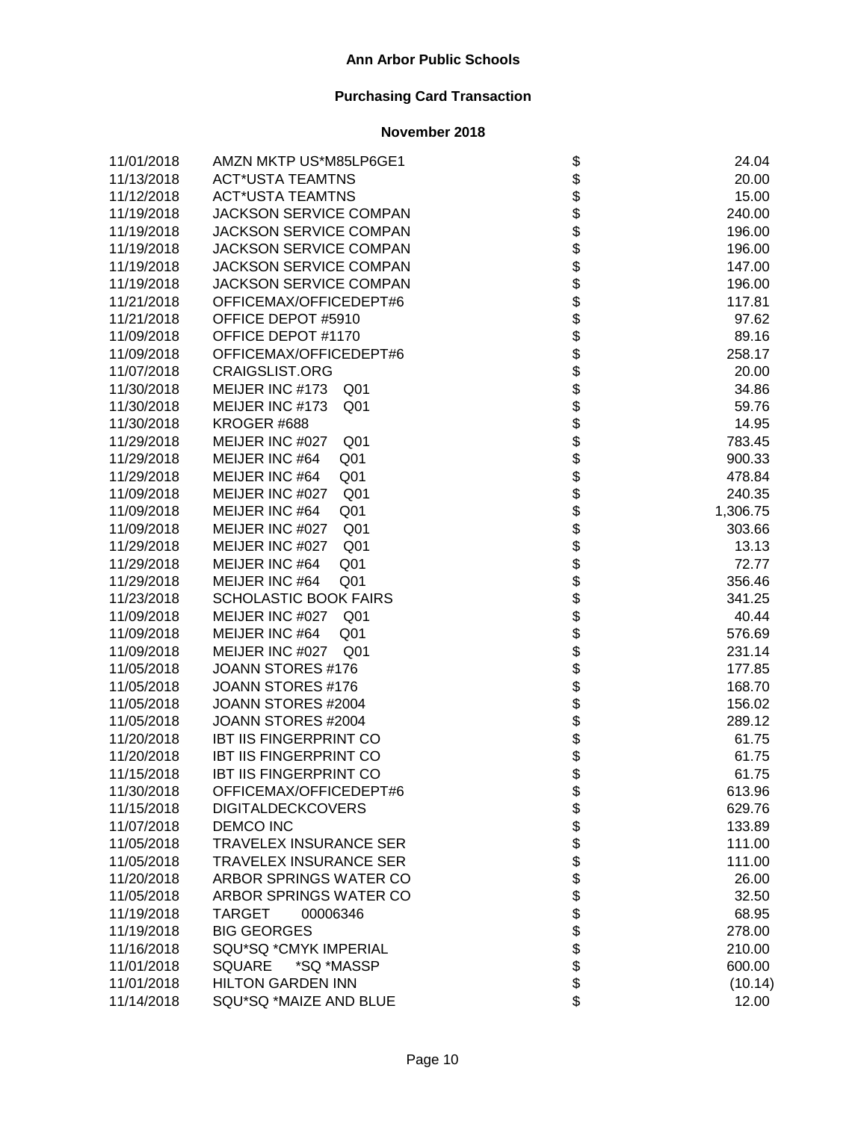| 11/01/2018 | AMZN MKTP US*M85LP6GE1             |                    | 24.04    |
|------------|------------------------------------|--------------------|----------|
| 11/13/2018 | <b>ACT*USTA TEAMTNS</b>            |                    | 20.00    |
| 11/12/2018 | <b>ACT*USTA TEAMTNS</b>            |                    | 15.00    |
| 11/19/2018 | <b>JACKSON SERVICE COMPAN</b>      |                    | 240.00   |
| 11/19/2018 | <b>JACKSON SERVICE COMPAN</b>      |                    | 196.00   |
| 11/19/2018 | <b>JACKSON SERVICE COMPAN</b>      |                    | 196.00   |
| 11/19/2018 | <b>JACKSON SERVICE COMPAN</b>      |                    | 147.00   |
| 11/19/2018 | <b>JACKSON SERVICE COMPAN</b>      |                    | 196.00   |
| 11/21/2018 | OFFICEMAX/OFFICEDEPT#6             |                    | 117.81   |
| 11/21/2018 | OFFICE DEPOT #5910                 |                    | 97.62    |
| 11/09/2018 | OFFICE DEPOT #1170                 |                    | 89.16    |
| 11/09/2018 | OFFICEMAX/OFFICEDEPT#6             |                    | 258.17   |
| 11/07/2018 | <b>CRAIGSLIST.ORG</b>              |                    | 20.00    |
| 11/30/2018 | MEIJER INC #173 Q01                |                    | 34.86    |
| 11/30/2018 | MEIJER INC #173<br>Q <sub>01</sub> |                    | 59.76    |
| 11/30/2018 | KROGER #688                        |                    | 14.95    |
| 11/29/2018 | MEIJER INC #027<br>Q <sub>01</sub> |                    | 783.45   |
| 11/29/2018 | MEIJER INC #64<br>Q <sub>01</sub>  |                    | 900.33   |
| 11/29/2018 | MEIJER INC #64<br>Q <sub>01</sub>  |                    | 478.84   |
| 11/09/2018 | MEIJER INC #027<br>Q <sub>01</sub> |                    | 240.35   |
| 11/09/2018 | MEIJER INC #64<br>Q <sub>01</sub>  |                    | 1,306.75 |
| 11/09/2018 | MEIJER INC #027<br>Q <sub>01</sub> |                    | 303.66   |
| 11/29/2018 | MEIJER INC #027<br>Q <sub>01</sub> |                    | 13.13    |
| 11/29/2018 | MEIJER INC #64<br>Q <sub>01</sub>  |                    | 72.77    |
| 11/29/2018 | MEIJER INC #64<br>Q <sub>01</sub>  |                    | 356.46   |
| 11/23/2018 | <b>SCHOLASTIC BOOK FAIRS</b>       |                    | 341.25   |
| 11/09/2018 | MEIJER INC #027 Q01                |                    | 40.44    |
| 11/09/2018 | MEIJER INC #64<br>Q <sub>01</sub>  |                    | 576.69   |
| 11/09/2018 | MEIJER INC #027 Q01                |                    | 231.14   |
| 11/05/2018 | JOANN STORES #176                  |                    | 177.85   |
| 11/05/2018 | JOANN STORES #176                  |                    | 168.70   |
| 11/05/2018 | JOANN STORES #2004                 |                    | 156.02   |
| 11/05/2018 | JOANN STORES #2004                 |                    | 289.12   |
| 11/20/2018 | <b>IBT IIS FINGERPRINT CO</b>      |                    | 61.75    |
| 11/20/2018 | <b>IBT IIS FINGERPRINT CO</b>      |                    | 61.75    |
| 11/15/2018 | <b>IBT IIS FINGERPRINT CO</b>      |                    | 61.75    |
| 11/30/2018 | OFFICEMAX/OFFICEDEPT#6             | \$                 | 613.96   |
| 11/15/2018 | <b>DIGITALDECKCOVERS</b>           |                    | 629.76   |
| 11/07/2018 | <b>DEMCO INC</b>                   |                    | 133.89   |
| 11/05/2018 | <b>TRAVELEX INSURANCE SER</b>      |                    | 111.00   |
| 11/05/2018 | <b>TRAVELEX INSURANCE SER</b>      |                    | 111.00   |
| 11/20/2018 | ARBOR SPRINGS WATER CO             |                    | 26.00    |
| 11/05/2018 | ARBOR SPRINGS WATER CO             |                    | 32.50    |
| 11/19/2018 | <b>TARGET</b><br>00006346          |                    | 68.95    |
| 11/19/2018 | <b>BIG GEORGES</b>                 |                    | 278.00   |
| 11/16/2018 | SQU*SQ *CMYK IMPERIAL              | <b>88888888888</b> | 210.00   |
| 11/01/2018 | <b>SQUARE</b><br>*SQ *MASSP        |                    | 600.00   |
| 11/01/2018 | <b>HILTON GARDEN INN</b>           |                    | (10.14)  |
| 11/14/2018 | SQU*SQ *MAIZE AND BLUE             | \$                 | 12.00    |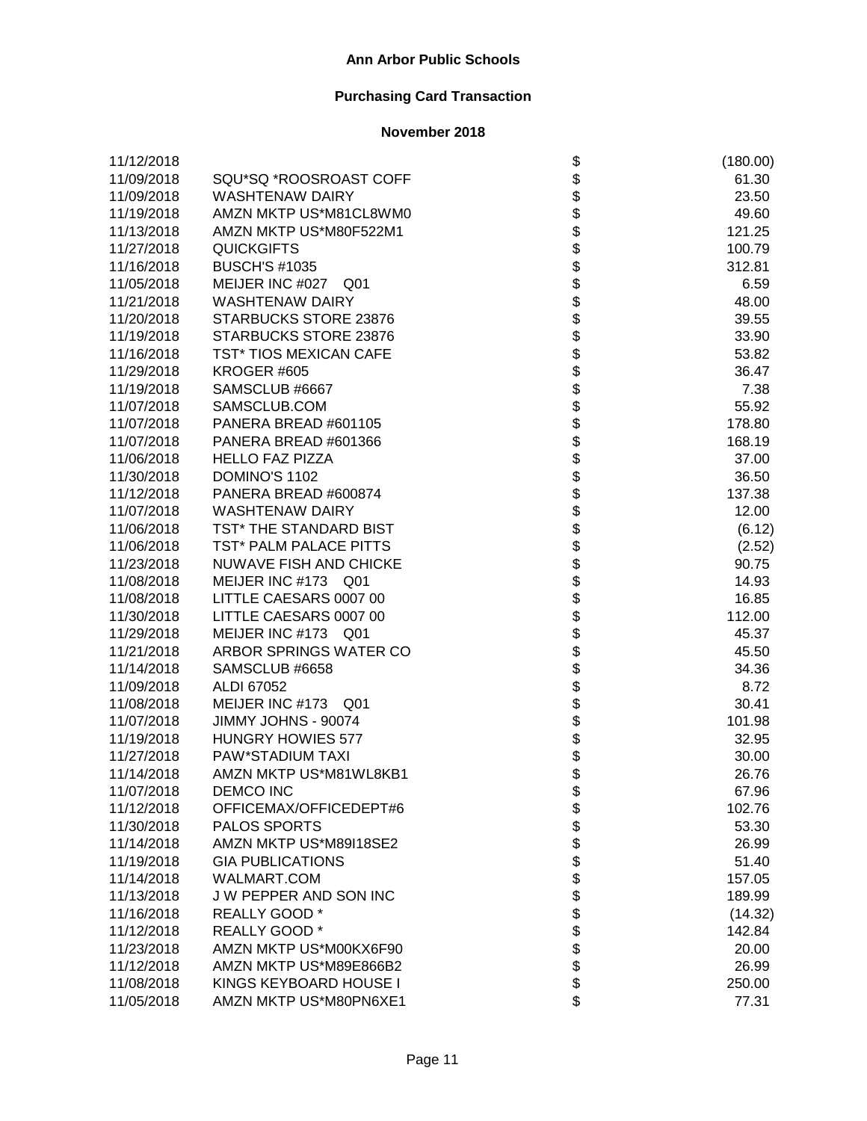| 11/12/2018 |                          |                              | (180.00) |
|------------|--------------------------|------------------------------|----------|
| 11/09/2018 | SQU*SQ *ROOSROAST COFF   |                              | 61.30    |
| 11/09/2018 | <b>WASHTENAW DAIRY</b>   |                              | 23.50    |
| 11/19/2018 | AMZN MKTP US*M81CL8WM0   |                              | 49.60    |
| 11/13/2018 | AMZN MKTP US*M80F522M1   |                              | 121.25   |
| 11/27/2018 | <b>QUICKGIFTS</b>        |                              | 100.79   |
| 11/16/2018 | <b>BUSCH'S #1035</b>     |                              | 312.81   |
| 11/05/2018 | MEIJER INC #027 Q01      |                              | 6.59     |
| 11/21/2018 | <b>WASHTENAW DAIRY</b>   |                              | 48.00    |
| 11/20/2018 | STARBUCKS STORE 23876    |                              | 39.55    |
| 11/19/2018 | STARBUCKS STORE 23876    |                              | 33.90    |
| 11/16/2018 | TST* TIOS MEXICAN CAFE   |                              | 53.82    |
| 11/29/2018 | KROGER #605              |                              | 36.47    |
| 11/19/2018 | SAMSCLUB #6667           |                              | 7.38     |
| 11/07/2018 | SAMSCLUB.COM             |                              | 55.92    |
| 11/07/2018 | PANERA BREAD #601105     |                              | 178.80   |
| 11/07/2018 | PANERA BREAD #601366     |                              | 168.19   |
| 11/06/2018 | <b>HELLO FAZ PIZZA</b>   |                              | 37.00    |
| 11/30/2018 | DOMINO'S 1102            |                              | 36.50    |
| 11/12/2018 | PANERA BREAD #600874     |                              | 137.38   |
| 11/07/2018 | <b>WASHTENAW DAIRY</b>   |                              | 12.00    |
| 11/06/2018 | TST* THE STANDARD BIST   |                              | (6.12)   |
| 11/06/2018 | TST* PALM PALACE PITTS   |                              | (2.52)   |
| 11/23/2018 | NUWAVE FISH AND CHICKE   |                              | 90.75    |
| 11/08/2018 | MEIJER INC #173 Q01      |                              | 14.93    |
| 11/08/2018 | LITTLE CAESARS 0007 00   |                              | 16.85    |
| 11/30/2018 | LITTLE CAESARS 0007 00   |                              | 112.00   |
| 11/29/2018 | MEIJER INC #173 Q01      |                              | 45.37    |
| 11/21/2018 | ARBOR SPRINGS WATER CO   |                              | 45.50    |
| 11/14/2018 | SAMSCLUB #6658           |                              | 34.36    |
| 11/09/2018 | ALDI 67052               |                              | 8.72     |
| 11/08/2018 | MEIJER INC #173 Q01      |                              | 30.41    |
| 11/07/2018 | JIMMY JOHNS - 90074      |                              | 101.98   |
| 11/19/2018 | <b>HUNGRY HOWIES 577</b> |                              | 32.95    |
| 11/27/2018 | PAW*STADIUM TAXI         |                              | 30.00    |
| 11/14/2018 | AMZN MKTP US*M81WL8KB1   |                              | 26.76    |
| 11/07/2018 | <b>DEMCO INC</b>         | \$                           | 67.96    |
| 11/12/2018 | OFFICEMAX/OFFICEDEPT#6   |                              | 102.76   |
| 11/30/2018 | PALOS SPORTS             |                              | 53.30    |
| 11/14/2018 | AMZN MKTP US*M89I18SE2   |                              | 26.99    |
| 11/19/2018 | <b>GIA PUBLICATIONS</b>  |                              | 51.40    |
| 11/14/2018 | WALMART.COM              |                              | 157.05   |
| 11/13/2018 | J W PEPPER AND SON INC   |                              | 189.99   |
| 11/16/2018 | REALLY GOOD *            |                              | (14.32)  |
| 11/12/2018 | REALLY GOOD *            |                              | 142.84   |
| 11/23/2018 | AMZN MKTP US*M00KX6F90   | \$\$\$\$\$\$\$\$\$\$\$\$\$\$ | 20.00    |
| 11/12/2018 | AMZN MKTP US*M89E866B2   |                              | 26.99    |
| 11/08/2018 | KINGS KEYBOARD HOUSE I   |                              | 250.00   |
| 11/05/2018 | AMZN MKTP US*M80PN6XE1   |                              | 77.31    |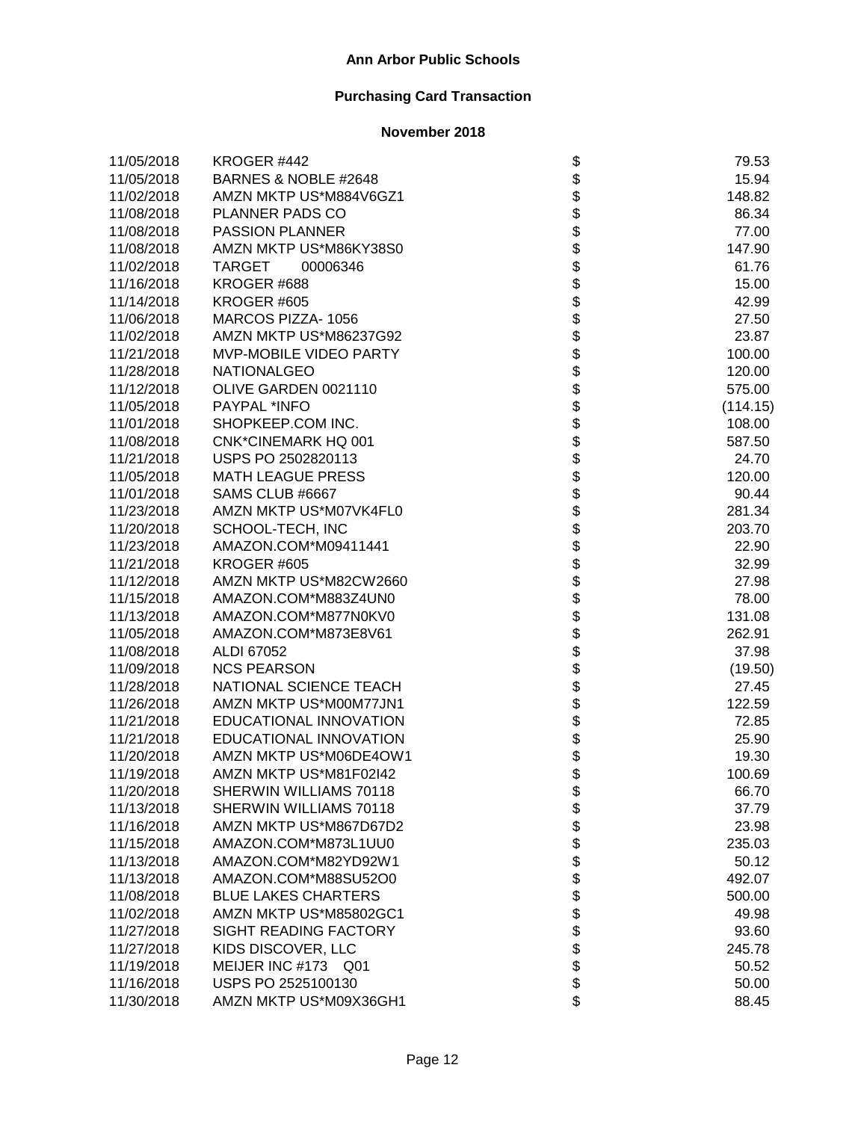| 11/05/2018 | KROGER #442                |                              | 79.53    |
|------------|----------------------------|------------------------------|----------|
| 11/05/2018 | BARNES & NOBLE #2648       |                              | 15.94    |
| 11/02/2018 | AMZN MKTP US*M884V6GZ1     |                              | 148.82   |
| 11/08/2018 | PLANNER PADS CO            |                              | 86.34    |
| 11/08/2018 | <b>PASSION PLANNER</b>     |                              | 77.00    |
| 11/08/2018 | AMZN MKTP US*M86KY38S0     |                              | 147.90   |
| 11/02/2018 | <b>TARGET</b><br>00006346  |                              | 61.76    |
| 11/16/2018 | KROGER #688                |                              | 15.00    |
| 11/14/2018 | KROGER #605                |                              | 42.99    |
| 11/06/2018 | MARCOS PIZZA-1056          |                              | 27.50    |
| 11/02/2018 | AMZN MKTP US*M86237G92     |                              | 23.87    |
| 11/21/2018 | MVP-MOBILE VIDEO PARTY     |                              | 100.00   |
| 11/28/2018 | <b>NATIONALGEO</b>         |                              | 120.00   |
| 11/12/2018 | OLIVE GARDEN 0021110       |                              | 575.00   |
| 11/05/2018 | PAYPAL *INFO               |                              | (114.15) |
| 11/01/2018 | SHOPKEEP.COM INC.          |                              | 108.00   |
| 11/08/2018 | <b>CNK*CINEMARK HQ 001</b> |                              | 587.50   |
| 11/21/2018 | USPS PO 2502820113         |                              | 24.70    |
| 11/05/2018 | <b>MATH LEAGUE PRESS</b>   |                              | 120.00   |
| 11/01/2018 | SAMS CLUB #6667            |                              | 90.44    |
| 11/23/2018 | AMZN MKTP US*M07VK4FL0     |                              | 281.34   |
| 11/20/2018 | SCHOOL-TECH, INC           |                              | 203.70   |
| 11/23/2018 | AMAZON.COM*M09411441       |                              | 22.90    |
| 11/21/2018 | KROGER #605                |                              | 32.99    |
| 11/12/2018 | AMZN MKTP US*M82CW2660     |                              | 27.98    |
| 11/15/2018 | AMAZON.COM*M883Z4UN0       |                              | 78.00    |
| 11/13/2018 | AMAZON.COM*M877N0KV0       |                              | 131.08   |
| 11/05/2018 | AMAZON.COM*M873E8V61       |                              | 262.91   |
| 11/08/2018 | ALDI 67052                 |                              | 37.98    |
| 11/09/2018 | <b>NCS PEARSON</b>         |                              | (19.50)  |
| 11/28/2018 | NATIONAL SCIENCE TEACH     |                              | 27.45    |
| 11/26/2018 | AMZN MKTP US*M00M77JN1     |                              | 122.59   |
| 11/21/2018 | EDUCATIONAL INNOVATION     |                              | 72.85    |
| 11/21/2018 | EDUCATIONAL INNOVATION     |                              | 25.90    |
| 11/20/2018 | AMZN MKTP US*M06DE4OW1     |                              | 19.30    |
| 11/19/2018 | AMZN MKTP US*M81F02I42     |                              | 100.69   |
| 11/20/2018 | SHERWIN WILLIAMS 70118     | \$                           | 66.70    |
| 11/13/2018 | SHERWIN WILLIAMS 70118     |                              | 37.79    |
| 11/16/2018 | AMZN MKTP US*M867D67D2     |                              | 23.98    |
| 11/15/2018 | AMAZON.COM*M873L1UU0       |                              | 235.03   |
| 11/13/2018 | AMAZON.COM*M82YD92W1       |                              | 50.12    |
| 11/13/2018 | AMAZON.COM*M88SU52O0       |                              | 492.07   |
| 11/08/2018 | <b>BLUE LAKES CHARTERS</b> |                              | 500.00   |
| 11/02/2018 | AMZN MKTP US*M85802GC1     |                              | 49.98    |
| 11/27/2018 | SIGHT READING FACTORY      |                              | 93.60    |
| 11/27/2018 | KIDS DISCOVER, LLC         |                              | 245.78   |
| 11/19/2018 | MEIJER INC #173 Q01        |                              | 50.52    |
| 11/16/2018 | USPS PO 2525100130         | \$\$\$\$\$\$\$\$\$\$\$\$\$\$ | 50.00    |
| 11/30/2018 | AMZN MKTP US*M09X36GH1     |                              | 88.45    |